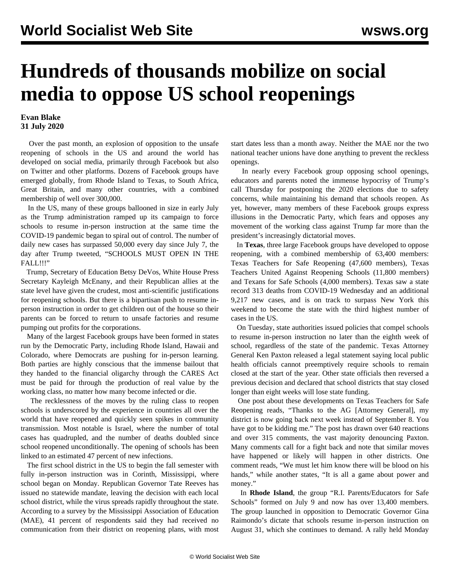## **Hundreds of thousands mobilize on social media to oppose US school reopenings**

## **Evan Blake 31 July 2020**

 Over the past month, an explosion of opposition to the unsafe reopening of schools in the US and around the world has developed on social media, primarily through Facebook but also on Twitter and other platforms. Dozens of Facebook groups have emerged globally, from Rhode Island to Texas, to South Africa, Great Britain, and many other countries, with a combined membership of well over 300,000.

 In the US, many of these groups ballooned in size in early July as the Trump administration ramped up its campaign to force schools to resume in-person instruction at the same time the COVID-19 pandemic began to spiral out of control. The number of daily new cases has surpassed 50,000 every day since July 7, the day after [Trump tweeted](/en/articles/2020/07/09/pers-j09.html), "SCHOOLS MUST OPEN IN THE FALL!!!"

 Trump, Secretary of Education Betsy DeVos, White House Press Secretary Kayleigh McEnany, and their Republican allies at the state level have given the crudest, most anti-scientific justifications for reopening schools. But there is a bipartisan push to resume inperson instruction in order to get children out of the house so their parents can be forced to return to unsafe factories and resume pumping out profits for the corporations.

 Many of the largest Facebook groups have been formed in states run by the Democratic Party, including Rhode Island, Hawaii and Colorado, where Democrats are pushing for in-person learning. Both parties are highly conscious that the immense bailout that they handed to the financial oligarchy through the CARES Act must be paid for through the production of real value by the working class, no matter how many become infected or die.

 The recklessness of the moves by the ruling class to reopen schools is underscored by the experience in countries all over the world that have reopened and quickly seen spikes in community transmission. Most notable is Israel, where the number of total cases has quadrupled, and the number of deaths doubled since school reopened unconditionally. The opening of schools has been linked to an estimated 47 percent of new infections.

 The first school district in the US to begin the fall semester with fully in-person instruction was in Corinth, Mississippi, where school began on Monday. Republican Governor Tate Reeves has issued no statewide mandate, leaving the decision with each local school district, while the virus spreads rapidly throughout the state. According to a survey by the Mississippi Association of Education (MAE), 41 percent of respondents said they had received no communication from their district on reopening plans, with most start dates less than a month away. Neither the MAE nor the two national teacher unions have done anything to prevent the reckless openings.

 In nearly every Facebook group opposing school openings, educators and parents noted the immense hypocrisy of Trump's call Thursday for postponing the 2020 elections due to safety concerns, while maintaining his demand that schools reopen. As yet, however, many members of these Facebook groups express illusions in the Democratic Party, which fears and opposes any movement of the working class against Trump far more than the president's [increasingly dictatorial moves](/en/articles/2020/07/27/pers-j27.html).

 In **Texas**, three large Facebook groups have developed to oppose reopening, with a combined membership of 63,400 members: Texas Teachers for Safe Reopening (47,600 members), Texas Teachers United Against Reopening Schools (11,800 members) and Texans for Safe Schools (4,000 members). Texas saw a state record 313 deaths from COVID-19 Wednesday and an additional 9,217 new cases, and is on track to surpass New York this weekend to become the state with the third highest number of cases in the US.

 On Tuesday, state authorities issued policies that compel schools to resume in-person instruction no later than the eighth week of school, regardless of the state of the pandemic. Texas Attorney General Ken Paxton released a legal statement saying local public health officials cannot preemptively require schools to remain closed at the start of the year. Other state officials then reversed a previous decision and declared that school districts that stay closed longer than eight weeks will lose state funding.

 One post about these developments on Texas Teachers for Safe Reopening reads, "Thanks to the AG [Attorney General], my district is now going back next week instead of September 8. You have got to be kidding me." The post has drawn over 640 reactions and over 315 comments, the vast majority denouncing Paxton. Many comments call for a fight back and note that similar moves have happened or likely will happen in other districts. One comment reads, "We must let him know there will be blood on his hands," while another states, "It is all a game about power and money."

 In **Rhode Island**, the group "R.I. Parents/Educators for Safe Schools" formed on July 9 and now has over 13,400 members. The group launched in opposition to Democratic Governor Gina Raimondo's dictate that schools resume in-person instruction on August 31, which she continues to demand. A rally held Monday